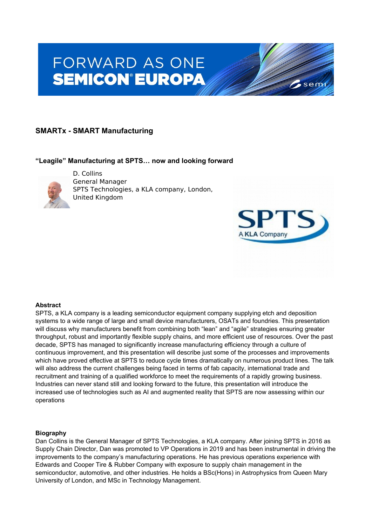# **FORWARD AS ONE SEMICON®EUROPA**

# **SMARTx - SMART Manufacturing**

## **"Leagile" Manufacturing at SPTS… now and looking forward**



D. Collins General Manager SPTS Technologies, a KLA company, London, United Kingdom



sem

## **Abstract**

SPTS, a KLA company is a leading semiconductor equipment company supplying etch and deposition systems to a wide range of large and small device manufacturers, OSATs and foundries. This presentation will discuss why manufacturers benefit from combining both "lean" and "agile" strategies ensuring greater throughput, robust and importantly flexible supply chains, and more efficient use of resources. Over the past decade, SPTS has managed to significantly increase manufacturing efficiency through a culture of continuous improvement, and this presentation will describe just some of the processes and improvements which have proved effective at SPTS to reduce cycle times dramatically on numerous product lines. The talk will also address the current challenges being faced in terms of fab capacity, international trade and recruitment and training of a qualified workforce to meet the requirements of a rapidly growing business. Industries can never stand still and looking forward to the future, this presentation will introduce the increased use of technologies such as AI and augmented reality that SPTS are now assessing within our operations

#### **Biography**

Dan Collins is the General Manager of SPTS Technologies, a KLA company. After joining SPTS in 2016 as Supply Chain Director, Dan was promoted to VP Operations in 2019 and has been instrumental in driving the improvements to the company's manufacturing operations. He has previous operations experience with Edwards and Cooper Tire & Rubber Company with exposure to supply chain management in the semiconductor, automotive, and other industries. He holds a BSc(Hons) in Astrophysics from Queen Mary University of London, and MSc in Technology Management.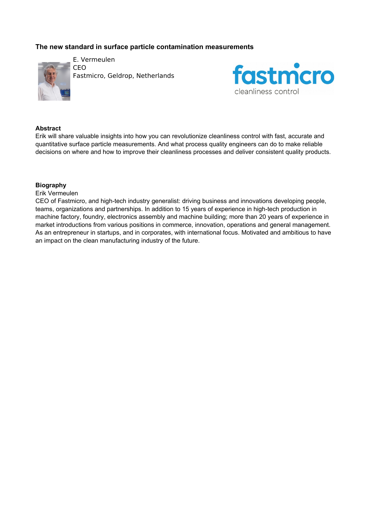## **The new standard in surface particle contamination measurements**



E. Vermeulen CEO Fastmicro, Geldrop, Netherlands



## **Abstract**

Erik will share valuable insights into how you can revolutionize cleanliness control with fast, accurate and quantitative surface particle measurements. And what process quality engineers can do to make reliable decisions on where and how to improve their cleanliness processes and deliver consistent quality products.

#### **Biography**

#### Erik Vermeulen

CEO of Fastmicro, and high-tech industry generalist: driving business and innovations developing people, teams, organizations and partnerships. In addition to 15 years of experience in high-tech production in machine factory, foundry, electronics assembly and machine building; more than 20 years of experience in market introductions from various positions in commerce, innovation, operations and general management. As an entrepreneur in startups, and in corporates, with international focus. Motivated and ambitious to have an impact on the clean manufacturing industry of the future.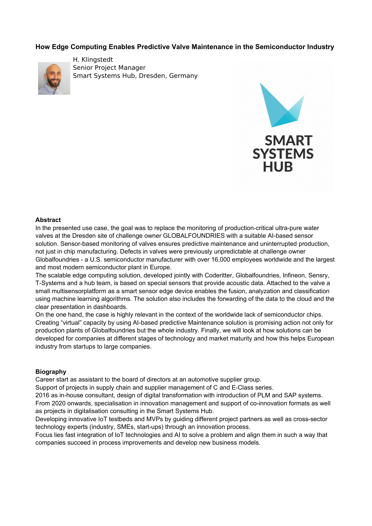## **How Edge Computing Enables Predictive Valve Maintenance in the Semiconductor Industry**



H. Klingstedt Senior Project Manager Smart Systems Hub, Dresden, Germany



#### **Abstract**

In the presented use case, the goal was to replace the monitoring of production-critical ultra-pure water valves at the Dresden site of challenge owner GLOBALFOUNDRIES with a suitable AI-based sensor solution. Sensor-based monitoring of valves ensures predictive maintenance and uninterrupted production, not just in chip manufacturing. Defects in valves were previously unpredictable at challenge owner Globalfoundries - a U.S. semiconductor manufacturer with over 16,000 employees worldwide and the largest and most modern semiconductor plant in Europe.

The scalable edge computing solution, developed jointly with Coderitter, Globalfoundries, Infineon, Sensry, T-Systems and a hub team, is based on special sensors that provide acoustic data. Attached to the valve a small multisensorplatform as a smart sensor edge device enables the fusion, analyzation and classification using machine learning algorithms. The solution also includes the forwarding of the data to the cloud and the clear presentation in dashboards.

On the one hand, the case is highly relevant in the context of the worldwide lack of semiconductor chips. Creating "virtual" capacity by using AI-based predictive Maintenance solution is promising action not only for production plants of Globalfoundries but the whole industry. Finally, we will look at how solutions can be developed for companies at different stages of technology and market maturity and how this helps European industry from startups to large companies.

#### **Biography**

Career start as assistant to the board of directors at an automotive supplier group.

Support of projects in supply chain and supplier management of C and E-Class series.

2016 as in-house consultant, design of digital transformation with introduction of PLM and SAP systems. From 2020 onwards, specialisation in innovation management and support of co-innovation formats as well as projects in digitalisation consulting in the Smart Systems Hub.

Developing innovative IoT testbeds and MVPs by guiding different project partners as well as cross-sector technology experts (industry, SMEs, start-ups) through an innovation process.

Focus lies fast integration of IoT technologies and AI to solve a problem and align them in such a way that companies succeed in process improvements and develop new business models.